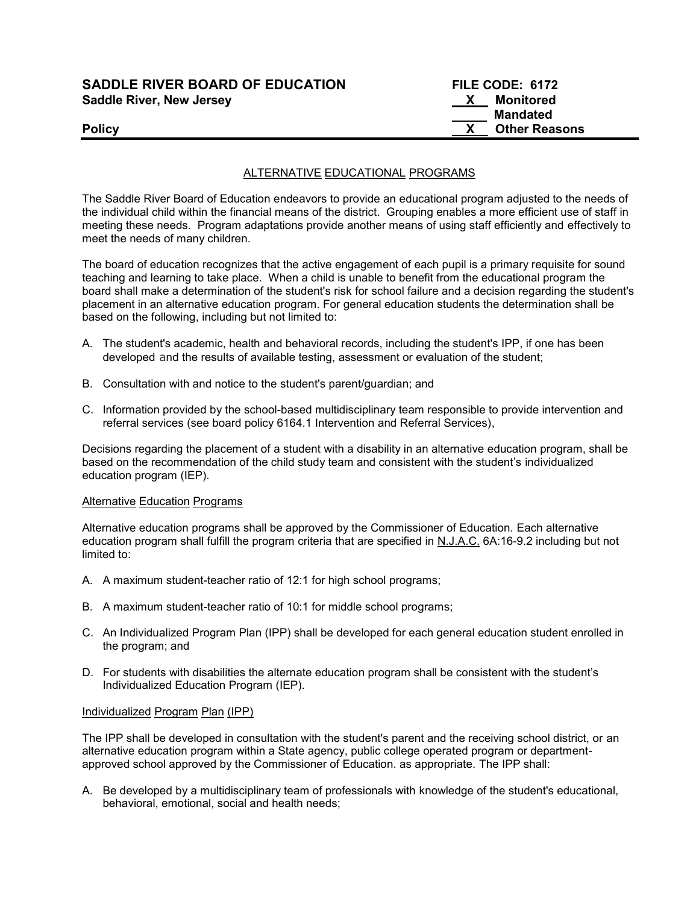| <b>SADDLE RIVER BOARD OF EDUCATION</b> | FILE CODE: 6172 |
|----------------------------------------|-----------------|
| <b>Saddle River, New Jersey</b>        | Monitored       |

| <b>SADDLE RIVER BOARD OF EDUCATION</b> |    | <b>FILE CODE: 6172</b> |  |
|----------------------------------------|----|------------------------|--|
| <b>Saddle River, New Jersey</b>        | X. | Monitored              |  |
|                                        |    | Mandated               |  |
| <b>Policy</b>                          |    | <b>Other Reasons</b>   |  |

# ALTERNATIVE EDUCATIONAL PROGRAMS

The Saddle River Board of Education endeavors to provide an educational program adjusted to the needs of the individual child within the financial means of the district. Grouping enables a more efficient use of staff in meeting these needs. Program adaptations provide another means of using staff efficiently and effectively to meet the needs of many children.

The board of education recognizes that the active engagement of each pupil is a primary requisite for sound teaching and learning to take place. When a child is unable to benefit from the educational program the board shall make a determination of the student's risk for school failure and a decision regarding the student's placement in an alternative education program. For general education students the determination shall be based on the following, including but not limited to:

- A. The student's academic, health and behavioral records, including the student's IPP, if one has been developed and the results of available testing, assessment or evaluation of the student;
- B. Consultation with and notice to the student's parent/guardian; and
- C. Information provided by the school-based multidisciplinary team responsible to provide intervention and referral services (see board policy 6164.1 Intervention and Referral Services),

Decisions regarding the placement of a student with a disability in an alternative education program, shall be based on the recommendation of the child study team and consistent with the student's individualized education program (IEP).

## **Alternative Education Programs**

Alternative education programs shall be approved by the Commissioner of Education. Each alternative education program shall fulfill the program criteria that are specified in N.J.A.C. 6A:16-9.2 including but not limited to:

- A. A maximum student-teacher ratio of 12:1 for high school programs;
- B. A maximum student-teacher ratio of 10:1 for middle school programs;
- C. An Individualized Program Plan (IPP) shall be developed for each general education student enrolled in the program; and
- D. For students with disabilities the alternate education program shall be consistent with the student's Individualized Education Program (IEP).

## Individualized Program Plan (IPP)

The IPP shall be developed in consultation with the student's parent and the receiving school district, or an alternative education program within a State agency, public college operated program or departmentapproved school approved by the Commissioner of Education. as appropriate. The IPP shall:

A. Be developed by a multidisciplinary team of professionals with knowledge of the student's educational, behavioral, emotional, social and health needs;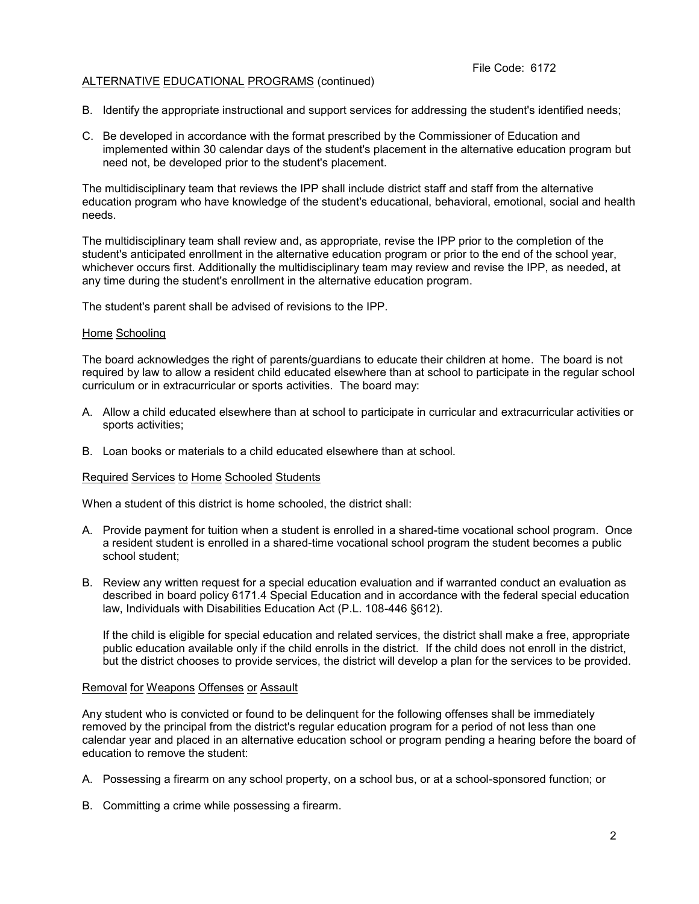### File Code: 6172

# ALTERNATIVE EDUCATIONAL PROGRAMS (continued)

- B. Identify the appropriate instructional and support services for addressing the student's identified needs;
- C. Be developed in accordance with the format prescribed by the Commissioner of Education and implemented within 30 calendar days of the student's placement in the alternative education program but need not, be developed prior to the student's placement.

The multidisciplinary team that reviews the IPP shall include district staff and staff from the alternative education program who have knowledge of the student's educational, behavioral, emotional, social and health needs.

The multidisciplinary team shall review and, as appropriate, revise the IPP prior to the completion of the student's anticipated enrollment in the alternative education program or prior to the end of the school year, whichever occurs first. Additionally the multidisciplinary team may review and revise the IPP, as needed, at any time during the student's enrollment in the alternative education program.

The student's parent shall be advised of revisions to the IPP.

### Home Schooling

The board acknowledges the right of parents/guardians to educate their children at home. The board is not required by law to allow a resident child educated elsewhere than at school to participate in the regular school curriculum or in extracurricular or sports activities. The board may:

- A. Allow a child educated elsewhere than at school to participate in curricular and extracurricular activities or sports activities;
- B. Loan books or materials to a child educated elsewhere than at school.

## Required Services to Home Schooled Students

When a student of this district is home schooled, the district shall:

- A. Provide payment for tuition when a student is enrolled in a shared-time vocational school program. Once a resident student is enrolled in a shared-time vocational school program the student becomes a public school student;
- B. Review any written request for a special education evaluation and if warranted conduct an evaluation as described in board policy 6171.4 Special Education and in accordance with the federal special education law, Individuals with Disabilities Education Act (P.L. 108-446 §612).

If the child is eligible for special education and related services, the district shall make a free, appropriate public education available only if the child enrolls in the district. If the child does not enroll in the district, but the district chooses to provide services, the district will develop a plan for the services to be provided.

## Removal for Weapons Offenses or Assault

Any student who is convicted or found to be delinquent for the following offenses shall be immediately removed by the principal from the district's regular education program for a period of not less than one calendar year and placed in an alternative education school or program pending a hearing before the board of education to remove the student:

- A. Possessing a firearm on any school property, on a school bus, or at a school-sponsored function; or
- B. Committing a crime while possessing a firearm.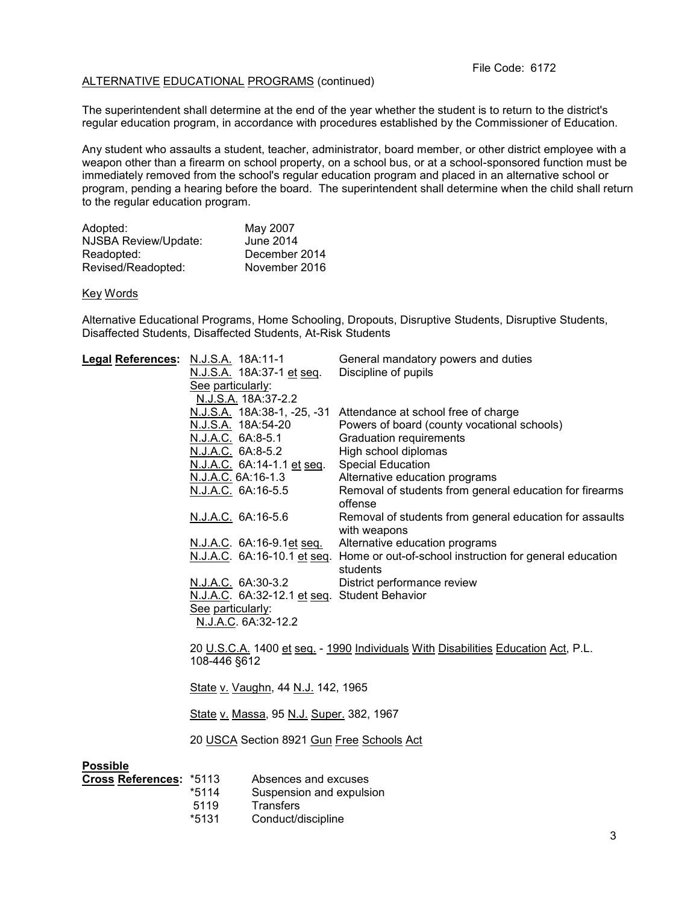# ALTERNATIVE EDUCATIONAL PROGRAMS (continued)

The superintendent shall determine at the end of the year whether the student is to return to the district's regular education program, in accordance with procedures established by the Commissioner of Education.

Any student who assaults a student, teacher, administrator, board member, or other district employee with a weapon other than a firearm on school property, on a school bus, or at a school-sponsored function must be immediately removed from the school's regular education program and placed in an alternative school or program, pending a hearing before the board. The superintendent shall determine when the child shall return to the regular education program.

| May 2007      |
|---------------|
| June 2014     |
| December 2014 |
| November 2016 |
|               |

### Key Words

Alternative Educational Programs, Home Schooling, Dropouts, Disruptive Students, Disruptive Students, Disaffected Students, Disaffected Students, At-Risk Students

| Legal References: N.J.S.A. 18A:11-1 |                                                                                                   |                                           | General mandatory powers and duties                                                             |  |  |
|-------------------------------------|---------------------------------------------------------------------------------------------------|-------------------------------------------|-------------------------------------------------------------------------------------------------|--|--|
|                                     |                                                                                                   | N.J.S.A. 18A:37-1 et seq.                 | Discipline of pupils                                                                            |  |  |
|                                     | See particularly:                                                                                 |                                           |                                                                                                 |  |  |
|                                     | N.J.S.A. 18A:37-2.2                                                                               |                                           |                                                                                                 |  |  |
|                                     |                                                                                                   |                                           | N.J.S.A. 18A:38-1, -25, -31 Attendance at school free of charge                                 |  |  |
|                                     | N.J.S.A. 18A:54-20                                                                                |                                           | Powers of board (county vocational schools)                                                     |  |  |
|                                     | N.J.A.C. 6A:8-5.1                                                                                 |                                           | <b>Graduation requirements</b>                                                                  |  |  |
|                                     | N.J.A.C. 6A:8-5.2                                                                                 |                                           | High school diplomas                                                                            |  |  |
|                                     |                                                                                                   | N.J.A.C. 6A:14-1.1 et seq.                | <b>Special Education</b>                                                                        |  |  |
|                                     | N.J.A.C. 6A:16-1.3                                                                                |                                           | Alternative education programs                                                                  |  |  |
|                                     | N.J.A.C. 6A:16-5.5                                                                                |                                           | Removal of students from general education for firearms<br>offense                              |  |  |
|                                     | N.J.A.C. 6A:16-5.6                                                                                |                                           | Removal of students from general education for assaults<br>with weapons                         |  |  |
|                                     |                                                                                                   | <u>N.J.A.C</u> . 6A:16-9.1 <u>et seq.</u> | Alternative education programs                                                                  |  |  |
|                                     |                                                                                                   |                                           | N.J.A.C. 6A:16-10.1 et seq. Home or out-of-school instruction for general education<br>students |  |  |
|                                     | N.J.A.C. 6A:30-3.2                                                                                |                                           | District performance review                                                                     |  |  |
|                                     |                                                                                                   |                                           | N.J.A.C. 6A:32-12.1 et seq. Student Behavior                                                    |  |  |
|                                     | See particularly:                                                                                 |                                           |                                                                                                 |  |  |
|                                     |                                                                                                   | N.J.A.C. 6A:32-12.2                       |                                                                                                 |  |  |
|                                     | 20 U.S.C.A. 1400 et seq. - 1990 Individuals With Disabilities Education Act, P.L.<br>108-446 §612 |                                           |                                                                                                 |  |  |
|                                     |                                                                                                   |                                           |                                                                                                 |  |  |
|                                     | State v. Vaughn, 44 N.J. 142, 1965                                                                |                                           |                                                                                                 |  |  |
|                                     | State v. Massa, 95 N.J. Super. 382, 1967                                                          |                                           |                                                                                                 |  |  |
|                                     | 20 USCA Section 8921 Gun Free Schools Act                                                         |                                           |                                                                                                 |  |  |
| <b>Possible</b>                     |                                                                                                   |                                           |                                                                                                 |  |  |
| Cross References: *5113             |                                                                                                   | Absences and excuses                      |                                                                                                 |  |  |
|                                     | $*5114$                                                                                           | Suspension and expulsion                  |                                                                                                 |  |  |
|                                     | 5119                                                                                              | <b>Transfers</b>                          |                                                                                                 |  |  |